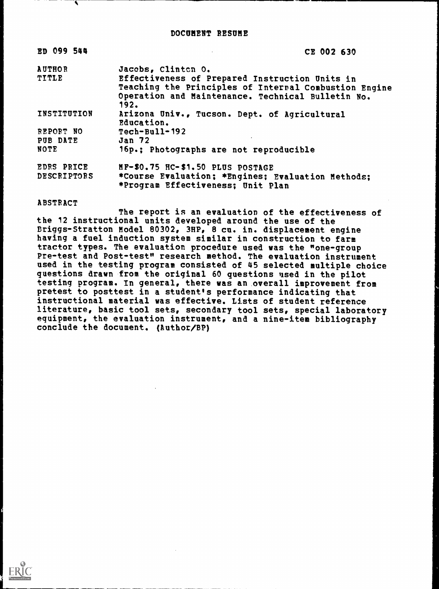| <b>ED 099 544</b>  | CE 002 630                                                                                                                                                           |
|--------------------|----------------------------------------------------------------------------------------------------------------------------------------------------------------------|
| <b>AUTHOR</b>      | Jacobs, Clinten 0.                                                                                                                                                   |
| TITLE              | Effectiveness of Prepared Instruction Units in<br>Teaching the Principles of Internal Combustion Engine<br>Operation and Maintenance. Technical Bulletin No.<br>192. |
| <b>INSTITUTION</b> | Arizona Univ., Tucson. Dept. of Agricultural<br>Education.                                                                                                           |
| REPORT NO          | $Techn$ -Bull-192                                                                                                                                                    |
| PUB DATE           | <b>Jan 72</b>                                                                                                                                                        |
| <b>NOTE</b>        | 16p.; Photographs are not reproducible                                                                                                                               |
| EDRS PRICE         | MF-\$0.75 HC-\$1.50 PLUS POSTAGE                                                                                                                                     |
| <b>DESCRIPTORS</b> | *Course Evaluation; *Engines; Evaluation Methods;<br>*Program Effectiveness; Unit Plan                                                                               |

#### ABSTRACT

The report is an evaluation of the effectiveness of the 12 instructional units developed around the use of the Briggs-Stratton Model 80302, 3HP, 8 cu. in. displacement engine having a fuel induction system similar in construction to farm tractor types. The evaluation procedure used was the "one-group Pre-test and Post-test" research method. The evaluation instrument used in the testing program consisted of 45 selected multiple choice questions drawn from the original 60 questions used in the pilot testing program. In general, there was an overall improvement from pretest to posttest in a student's performance indicating that instructional material was effective. Lists of student reference literature, basic tool sets, secondary tool sets, special laboratory equipment, the evaluation instrument, and a nine-item bibliography conclude the document. (Author/BP)

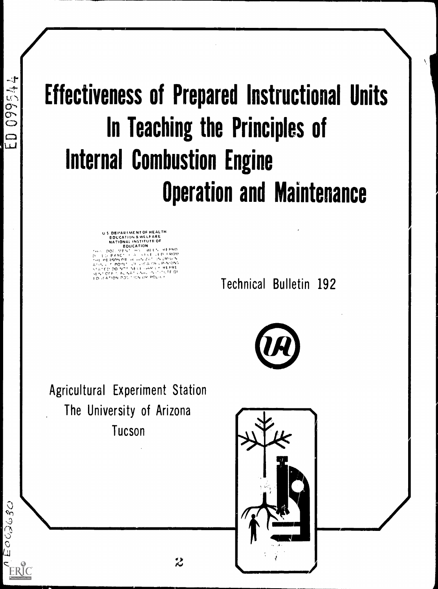# Effectiveness of Prepared Instructional Units In Teaching the Principles of Internal Combustion Engine Operation and Maintenance

U S DEPARIMENT OF HEALTH EDUCATION & WELFARE NATIONAL INSTITUTE OF EDUCATION P 0 .. . . . . . . . . .- . tit '. F'140 ' <sup>I</sup> F X &C <sup>I</sup> .1 IROa. <sup>41</sup> nz I

ATED DO WOT NESE - WHIS TREPRE CATION POSITION OR POLICE

Technical Bulletin 192

Agricultural Experiment Station The University of Arizona Tucson



 $\sim$   $\sim$  $\sim$  $\overline{a}$  ) and  $\overline{a}$  ) and  $\overline{a}$  (i.e.  $\overline{a}$  ) and  $\overline{a}$  ) and  $\overline{a}$  (i.e.  $\overline{a}$  ) and  $\overline{a}$  (i.e.  $\overline{a}$  ) and  $\overline{a}$  (i.e.  $\overline{a}$  ) and  $\overline{a}$  (i.e.  $\overline{a}$  ) and  $\overline{a}$  (i.e.  $\overline{a}$  )

 $L_1 \supset \blacksquare$ 

 $\Box$ 

 $\Xi$ 

 $-1$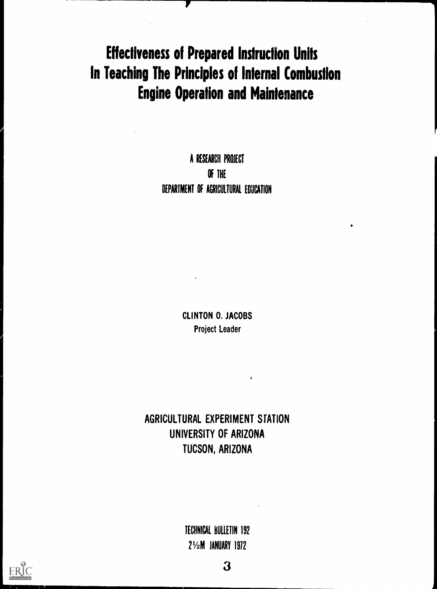# Effectiveness of Prepared Instruction Units In Teaching The Principles of Internal Combustion Engine Operation and Maintenance

A RESEARCH PROJECT Of THE DEPARTMENT Of AGRICULTURAL EDUCATION

> CLINTON 0. JACOBS Project Leader

AGRICULTURAL EXPERIMENT STATION UNIVERSITY OF ARIZONA TUCSON, ARIZONA

> TECHNICAL BULLETIN 192 21/2M JANUARY 1912

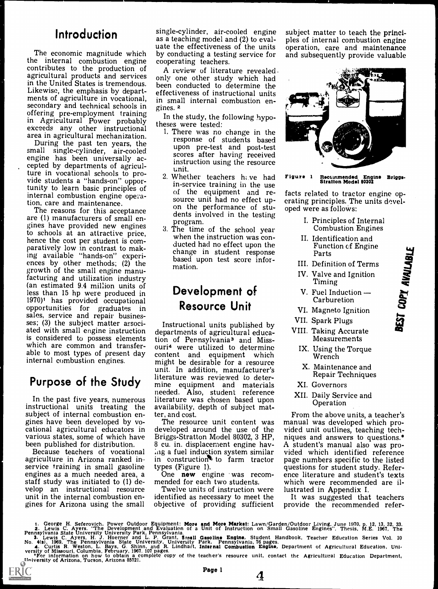The economic magnitude which by conducting a testir<br>the internal combustion engine cooperating teachers. contributes to the production of agricultural products and services in the United States is tremendous.<br>Likewise, the emphasis by departments of agriculture in vocational, secondary and technical schools in offering pre-employment training in Agricultural Power probably exceeds any other instructional<br>area in agricultural mechanization.

During the past ten years, the small single-cylinder, air-cooled<br>scores after having received engine has been universally ac-<br>cepted by departments of agricul-<br>unit. ture in vocational schools to pro-<br>vide students a "hands-on" oppor-<br>tunity to loop begin provident in-service training in the use tunity to learn basic principles of internal combustion engine operation, care and maintenance.

are (1) manufacturers of small en-<br>gines have provided new engines<br>to schools at an attractive price,<br>when the to schools at an attractive price,<br>hence the cost per student is com-<br>paratively low in contrast to making available "hands-on" experi-<br>ences by other methods; (2) the base<br>growth of the small engine manu-<br>facturing and utilization industry facturing and utilization industry<br>(an estimated 9.4 million units of less than 15 hp were produced in 1970)<sup>1</sup> has provided occupational opportunities for graduates in sales, service and repair busines-<br>ses; (3) the subject matter associ-<br>ated with small engine instruction is considered to possess elements tion of Pennsylvania<sup>3</sup> and Miss-<br>which are common and transfer-<br>ouri<sup>4</sup> were utilized to determine able to most types of present day internal combustion engines.

# Purpose of the Study

In the past five years, numerous instructional units treating the<br>subject of internal combustion engines have been developed by vo-<br>cational agricultural educators in developed around the use of the various states, some of which have Briggs-Stratton Model 80302, 3 HP, been published for distribution.  $8$  cu. in. displacement engine hav-

Because teachers of vocational agriculture in Arizona ranked in in construction<br>service training in small gasoline types (Figure 1). engines as a much needed area, a  $\overline{O}$  one new engine was recostaff study was initiated to (1) de- mended for each two students. staff study was initiated to (1) develop an instructional resource Twelve units of instruction were<br>unit in the internal combustion en-<br>identified as necessary to meet the unit in the internal combustion engines for Arizona using the small

ERIC

**Introduction** single-cylinder, air-cooled engine<br>as a teaching model and (2) to evalsingle-cylinder, air-cooled engine subject matter to teach the princias a teaching model and (2) to eval-<br>ples of internal combustion engine by conducting a testing service for

> A review of literature revealed only one other study which had been conducted to determine the effectiveness of instructional units in small internal combustion engines. 2

In the study, the following hypotheses were tested:

- 1. There was no change in the response of students based upon pre-test and post-test instruction using the resource<br>unit.<br>Whether teachers hive had **Figure** 1
- on the performance of stu-<br>The reasons for this acceptance<br>donts involved in the testimal 2. Whether teachers  $h_i$ ve had of the equipment and re-<br>source unit had no effect upsource unit had no effect up-<br>on the performance of stu-<br>dents involved in the testing<br> $\frac{d}{dx}$  =  $\frac{1}{x}$  =  $\frac{1}{x}$  =  $\frac{1}{x}$  =  $\frac{1}{x}$  =  $\frac{1}{x}$  =  $\frac{1}{x}$  =  $\frac{1}{x}$  =  $\frac{1}{x}$  =  $\frac{1}{x}$  =  $\frac{1}{x}$  =  $\$ 
	- 3. The time of the school year when the instruction was conducted had no effect upon the change in student response based upon test score infor- mation.

## Development of Resource Unit

Instructional units published by departments of agricultural educaouri<sup>4</sup> were utilized to determine content and equipment which might be desirable for a resource unit. In addition, manufacturer's literature was reviewed to determine equipment and materials  $\mathbf X$ needed. Also, student reference  $\rm XII$ literature was chosen based upon availability, depth of subject matter, and cost.

 $\log$  a fuel induction system similar  $\mod$  vide in construction<sup>t,</sup> to farm tractor page

Twelve units of instruction were

uate the effectiveness of the units operation, care and maintenance subject matter to teach the princiand subsequently provide valuable



Figure <sup>1</sup> Itecommended Engine Briggs- :Stratton Model 80302

facts related to tractor engine opoped were as folloWs:

- I. Principles of Internal Combustion Engines
- II. Identification and Function of Engine<br>
Parts<br>
Definition of Terms<br>
Valve and Ignition<br>
Timing<br>
Fuel Induction —<br>
Carburetion<br>
Magneto Ignition<br>
Spark Plugs<br>
Tablics Assumed
- III. Definition of Terms
- IV. Valve and Ignition Timing
- V. Fuel Induction Carburetion
- VI. Magneto Ignition
- VII. Spark Plugs
- VIII. Taking Accurate Measurements
	- IX. Using the Torque Wrench
	- X. Maintenance and Repair Techniques
	- XI. Governors
- XII. Daily Service and Operation

The resource unit content was manual was developed which pro-<br>veloped around the use of the vided unit outlines, teaching tech-Briggs-Stratton Model 80302, 3 HP, niques and answers to questions.\*<br>8 cu. in. displacement engine hav- A student's manual also was pro-<br>ing a fuel induction system similar vided which identified reference construction to farm tractor page numbers specific to the listed<br>pes (Figure 1). The new engine was recom-<br>one literature and student's texts<br>ended for each two students. Which were recommended are il-<br>Twelve units of inst From the above units, a teacher's A student's manual also was proence literature and student's texts which were recommended are il-

objective of providing sufficient provide the recommended refer-It was suggested that teachers

1. George H. Seferovich, Power Outdoor Equipment: More and More Market: Lawn/Garden/Outdoor Living, June 1970, p. 12, 13, 32, 33.<br>2. Lewis C. Ayers. "The Development and Evaluation of a Unit of Instruction on Small Gasolin **3.** Lewis C. Ayers, H. J. Hoerner and L. P. Grant, Small Gasoline Engine. Student Handbook, Teacher Education Series Vol. 10<br>No. 4(s), 1969, The Pennsylvania State University, University Park. Pennsylvania, 76 pages.<br>4. C



4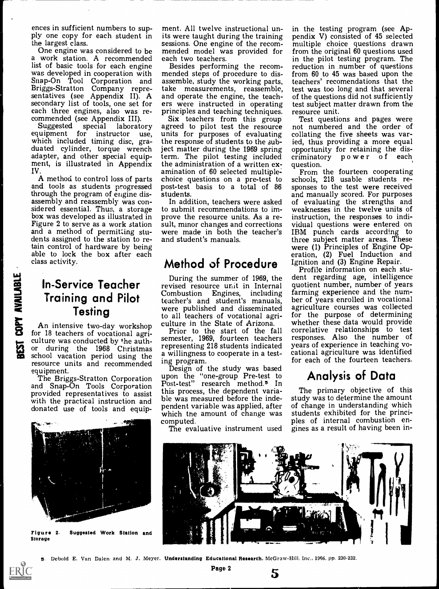ences in sufficient numbers to sup-<br>ply one copy for each student in<br>the largest class.

One engine was considered to be mended model was provided for<br>a work station. A recommended each two teachers.<br>list of basic tools for each engine Besides performing the recomlist of basic tools for each engine<br>was developed in cooperation with mended steps of procedure to dis-<br>Snap-On Tool Corporation and assemble, study the working parts,<br>Briggs-Stratton Company repre- take measurements, reas Briggs-Stratton Company repre- take measurements, reassemble, sentatives (see Appendix II). A and operate the engine, the teach-secondary list of tools, one set for ers were instructed in operating secondary list of tools, one set for ers were instructed in operating<br>each three engines, also was re-<br>commended (see Appendix III). Six teachers from this group<br>Suggested special laboratory agreed to pilot test the resour

which included timing disc, gra-<br>duated cylinder, torque wrench adapter, and other special equip- ment, is illustrated in Appendix IV.<br>A method to control loss of parts

A method to control loss of parts choice questions on a pre-test to and tools as students progressed post-test basis to a total of 86 through the program of engine dis-<br>students. assembly and reassembly was con-<br>sidered essential. Thus, a storage to submit recommendations to im-<br>box was developed as illustrated in prove the resource units. As a re-<br>Figure 2 to serve as a work station sult, minor ch and a method of permitting stu-<br>dents assigned to the station to retain control of hardware by being able to lock the box after each class activity.

# In-Service Teacher Training and Pilot

In-Service Teacher<br>
Training and Pilot<br>
Testing<br>
An intensive two-day workshop<br>
for 18 teachers of vocational agri-<br>
Contribution of the auth-<br>
Sure during the 1968 Christmas<br>
School vacation period using the An intensive two-day workshop culture was conducted by the auth-<br>or during the 1968 Christmas during the 1968 Christmas school vacation period using the a willingness<br>resource units and recommended ing program. resource units and recommended ing program.<br>equipment. Design of the study was based

The Briggs-Stratton Corporation and Snap-On Tools Corporation



Figure 2. Suggested Work Station and Storage

ment. All twelve instructional units were taught during the training pendix V) consisted of 45 selected sessions. One engine of the recom-

and operate the engine, the teach-

agreed to pilot test the resource the response of students to the subject matter during the 1969 spring opportunity for retaining the dis-<br>term. The pilot testing included criminatory power of each term. The pilot testing included criminate<br>the administration of a written ex- question. the administration of a written examination of 60 selected multiplepost-test basis to a total of 86 sponses to the test were received students.<br>and manually scored. For purposes students.

to submit recommendations to improve the resource units. As a re- instruction, the responses to indi-<br>sult, minor changes and corrections vidual questions were entered on and student's manuals.

# Method of Procedure Ignition and (3) Engine Repair.<br>Profile information on each stu-

**Testing Example 3** were published and disseminated vertical agrirevised resource unit in Internal quotient number, number of years<br>Combustion Engines, including farming experience and the num-Combustion Engines, including teacher's and student's manuals, ber of years enrolled in vocational were published and disseminated agriculture courses was collected were published and disseminated culture in the State of Arizona. whether these data would provide

Prior to the start of the fall semester, 1969, fourteen teachers representing 218 students indicated years of experience in teaching vo-<br>a willingness to cooperate in a test- cational agriculture was identified a willingness to cooperate in a test-

provided representatives to assist the was measured before the inde-<br>with the practical instruction and donated use of tools and equip-<br>which the amount of change was upon the "one-group Pre-test to Post-test" research method.<sup>5</sup> In this process, the dependent varia- The primary objective of this<br>ble was measured before the inde- study was to determine the amount pendent variable was applied, after of change in understanding which<br>which the amount of change was students exhibited for the princi-<br>computed. The set of internal combustion en-

The evaluative instrument used



principles and teaching techniques. resource unit.<br>Six teachers from this group Test questions and pages were not numbered and the order of collating the five sheets was varied, thus providing a more equal

In addition, teachers were asked of evaluating the strengths and submit recommendations to im- weaknesses in the twelve units of From the fourteen cooperating schools, 218 usable students responses to the test were received of evaluating the strengths and vidual questions were entered on IBM punch cards according to three subject matter areas. These were (1) Principles of Engine Operation, (2) Fuel Induction and Ignition and (3) Engine Repair.

During the summer of 1969, the dent regarding age, intelligence quotient number, number of years ber of years enrolled in vocational for the purpose of determining correlative relationships to test responses. Also the number of years of experience in teaching vofor each of the fourteen teachers.

# Analysis of Data

The primary objective of this of change in understanding which students exhibited for the princigines as a result of having been in-



5

5. Debold E. Van Dalen and M. J. Meyer. Understanding Educational Research, McGraw-Hill, Inc., 1966, pp. 230-232.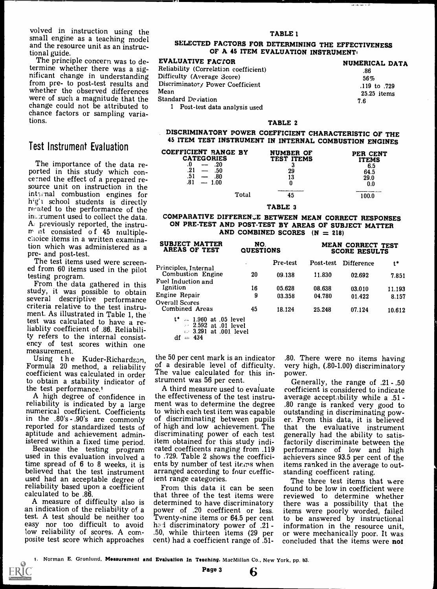volved in instruction using the<br>small engine as a teaching model and the resource unit as an instruc-<br>tional guide.

The principle concern was to determine whether there was a sig-<br>nificant change in understanding I<br>from pre- to post-test results and I whether the observed differences M were of such a magnitude that the change could not be attributed to chance factors or sampling variations.

## Test Instrument Evaluation

The importance of the data reported in this study which concerned the effect of a prepared resource unit on instruction in the integral combustion engines for  $h'g'$  school students is directly related to the performance of the in:. rument used to collect the data. A; previously reported, the instru $m$  ot consisted of 45 multiple-<br>choice items in a written examination which was administered as a pre- and post-test.

The test items used were screened from 60 items used in the pilot

From the data gathered in this study, it was possible to obtain<br>several descriptive performance criteria relative to the test instrument. As illustrated in Table 1, the test was calculated to have a reliablity coefficient of .86. Reliability refers to the internal consist- ency of test scores within one measurement.

coefficient was calculated in order to obtain a stability indicator of<br>the test performance.<sup>1</sup>

A high degree of confidence in reliability is indicated by a large numerical coefficient. Coefficients to which each test item was capable<br>in the .80's - .90's are commonly of discriminating between pupils in the .80's - .90's are commonly of discriminating between pupils<br>reported for standardized tests of of high and low achievement. The reported for standardized tests of aptitude and achievement admin-

used in this evaluation involved a time spread of 6 to 8 weeks, it is believed that the test instrument used had an acceptable degree of reliability based upon a coefficient calculated to be .86.

test. A test should be neither too Twenty-nine items or 64.5 per cent easy nor too difficult to avoid had discriminatory power of .21easy nor too difficult to avoid had discriminatory power of 21-<br>low reliability of scores. A com- .50, while thirteen items (29 per

ERIC

#### TABLE 1

#### SELECTED FACTORS FOR DETERMINING THE EFFECTIVENESS OF A 45 ITEM EVALUATION INSTRUMENT'

| EVALUATIVE FACTOR                     | NUMERICAL DATA |
|---------------------------------------|----------------|
| Reliability (Correlation coefficient) | .86            |
| Difficulty (Average Score)            | 56%            |
| Discriminatory Power Coefficient      | .119 to .729   |
| Mean                                  | $25.25$ items  |
| <b>Standard Deviation</b>             | 7.6            |
| 1 Post-test data analysis used        |                |
|                                       |                |

#### TABLE 2

#### DISCRIMINATORY POWER COEFFICIENT CHARACTERISTIC OF THE 45 ITEM TEST INSTRUMENT IN INTERNAL COMBUSTION ENGINES

| COEFFICIENT RANGE BY<br><b>CATEGORIES</b><br>20<br>.21<br>.50<br>.51<br>.80<br>.81<br>1.00 | <b>NUMBER OF</b><br>TEST ITEMS<br>ю<br>29<br>13                  | PER CENT<br>ITEMS<br>6.5<br>64.5<br>29.0<br>0.0 |  |
|--------------------------------------------------------------------------------------------|------------------------------------------------------------------|-------------------------------------------------|--|
| Total                                                                                      | <b><i><u>Programmation and Community Community</u></i></b><br>45 | l 00.0                                          |  |

#### TABLE 3

#### COMPARATIVE DIFFERENCE BETWEEN MEAN CORRECT RESPONSES ON PRE-TEST AND POST-TEST BY AREAS OF SUBJECT MATTER AND COMBINED SCORES  $(N = 218)$

| <b>SUBJECT MATTER</b><br>AREAS OF TEST                  | NO.<br><b>QUESTIONS</b> |          | MEAN CORRECT TEST<br><b>SCORE RESULTS</b> |                   |        |
|---------------------------------------------------------|-------------------------|----------|-------------------------------------------|-------------------|--------|
| Principles, Internal                                    |                         | Pre-test | Post-test                                 | <b>Difference</b> | t*     |
| <b>Combustion Engine</b>                                | 20                      | 09.138   | 11.830                                    | 02.692            | 7.851  |
| Fuel Induction and<br><b>Ignition</b>                   | 16                      |          |                                           |                   |        |
|                                                         |                         | 05.628   | 08.638                                    | 03.010            | 11.193 |
| Engine Repair                                           | 9                       | 03.358   | 04.780                                    | 01.422            | 8.157  |
| Overall Scores<br><b>Combined Areas</b>                 | 45                      | 18.124   | 25.248                                    | 07.124            | 10.612 |
| $t^* = 1.960$ at .05 level<br>$\sim$ 2.592 at .01 level |                         |          |                                           |                   |        |
| $\therefore$ 3.901 of 001 lovel                         |                         |          |                                           |                   |        |

3.291 at .001 level  $df = 434$ 

Using the Kuder-Richardson, the 50 per cent mark is an indicator Formula 20 method, a reliability of a desirable level of difficulty. The value calculated for this instrument was 56 per cent.

istered within a fixed time period. item obtained for this study indi-<br>Because the testing program cated coefficents ranging from .119 A third measure used to evaluate the effectiveness of the test instrument was to determine the degree .80 range is ranked very good to which each test item was capable outstanding in discriminating powdiscriminating power of each test generally had the ability to satis-<br>item obtained for this study indi-<br>cated coefficents ranging from .119 performance of low and high to .729. Table 2 shows the coefficients by number of test items when items ranked in the averag<br>arranged according to four coeffic- standing coefficent rating. arranged according to four coefficient range categories.

A measure of difficulty also is determined to have discriminatory<br>an indication of the reliability of a power of .20 coefficent or less. posite test score which approaches cent) had a coefficient range of 51-From this data it can be seen that three of the test items were determined to have discriminatory power of .20 coefficent or less. Twenty-nine items or  $64.5$  per cent to be<br>had discriminatory power of .21 - . .<br>information, while thirteen items (29 per cent) had a coefficient range of .51- conclud

.80. There were no items having very high, (.80-1.00) discriminatory power.

Generally, the range of .21 - .50 coefficient is considered to indicate average acceptability while a .51 - .80 range is ranked very good to er. From this data, it is believed that the evaluative instrument generally had the ability to satisfactorily discriminate between the achievers since 93.5 per cent of the items ranked in the average to out-

The three test items that were found to be low in coefficient were reviewed to determine whether there was a possibility that the items were poorly worded, failed to be answered by instructional information in the resource unit, or were mechanically poor. It was<br>concluded that the items were **not** 

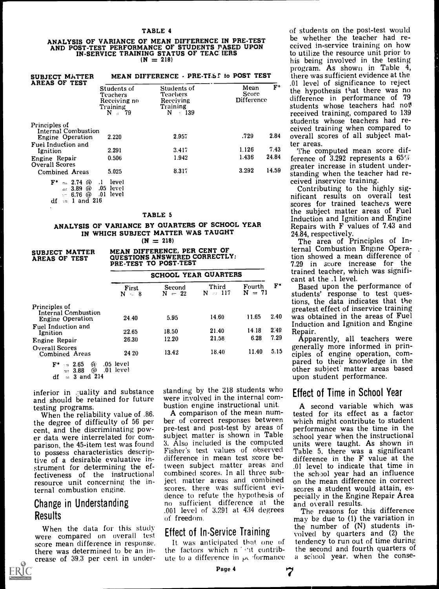#### ANALYSIS OF VARIANCE OF MEAN DIFFERENCE IN PRE-TEST LUCULE IN THE SERVICE OF MEAN AND POST-TEST PERFORMANCE OF STUDENTS PASED UPON CEIVED IN-SERVICE TRAINING STATUS OF TEAC. IERS  $(N = 218)$

| <b>SUBJECT MATTER</b>                                             |                                                                        | MEAN DIFFERENCE - PRE-TEST to POST TEST                                |                                    |                |
|-------------------------------------------------------------------|------------------------------------------------------------------------|------------------------------------------------------------------------|------------------------------------|----------------|
| AREAS OF TEST                                                     | Students of<br><b>Teachers</b><br>Receiving no<br>Training<br>$N = 79$ | Students of<br><b>Teachers</b><br>Receiving<br>Training<br>$-139$<br>N | Mean<br>Score<br><b>Difference</b> | $\mathbf{F}^*$ |
| Principles of<br><b>Internal Combustion</b>                       |                                                                        |                                                                        |                                    |                |
| <b>Engine Operation</b>                                           | 2.220                                                                  | 2.957                                                                  | .729                               | 2.84           |
| <b>Fuel Induction and</b>                                         |                                                                        |                                                                        |                                    |                |
| Ignition                                                          | 2.291                                                                  | 3.417                                                                  | 1.126                              | 7.43           |
| Engine Repair<br>Overall Scores                                   | 0.506                                                                  | 1.942                                                                  | 1.436                              | 24.84          |
| <b>Combined Areas</b>                                             | 5.025                                                                  | 8.317                                                                  | 3.292                              | 14.59          |
| ${\bf F}^{\bullet}$<br>$= 2.74 \, \omega$<br>$= 3.89$<br>$\omega$ | level<br>$\cdot$<br>.05<br>level                                       |                                                                        |                                    |                |
| -- 676 ወ                                                          | በ1<br>level                                                            |                                                                        |                                    |                |

 $\cdot$  revel df  $=$  1 and 216

#### TABLE 5

#### ANALYSIS OF VARIANCE BY QUARTERS OF SCHOOL YEAR Repairs with F values of 7.43 and IN WHICH SUBJECT MATTER WAS TAUGHT

 $(N = 218)$ 

SUBJECT MATTER AREAS OF TEST

MEAN DIFFERENCE, PER CENT OF QUESTIONS ANSWERED CORRECTLY: PRE-TEST TO POST-TEST

|                                                         | SCHOOL YEAR QUARTERS   |                    |                    |                    |                |
|---------------------------------------------------------|------------------------|--------------------|--------------------|--------------------|----------------|
|                                                         | First<br>$N = 8$       | Second<br>$N = 22$ | Third<br>$N = 117$ | Fourth<br>$N = 71$ | $\mathbf{F}^*$ |
| Principles of<br>Internal Combustion                    |                        |                    |                    |                    |                |
| <b>Engine Operation</b>                                 | 24.40                  | 5.95               | 14.60              | 11.65              | 2.40           |
| <b>Fuel Induction and</b><br>Ignition                   | 22.65                  | 18.50              | 21.40              | 14.18              | 2.49           |
| Engine Repair                                           | 26.30                  | 12.20              | 21.58              | 6.28               | 7.29           |
| <b>Overall Scores</b><br><b>Combined Areas</b>          | 24 20                  | 13.42              | 18.40              | 11.40              | 5.15           |
| $\approx 2.65$<br>W.<br>$\mathbf{F}^*$<br>⊕<br>$= 3.88$ | .05 level<br>.01 level |                    |                    |                    |                |

 $df = 3$  and 214

inferior in .:uality and substance and should be retained for future were involved in the internal com<br>testing programs. bustion engine instructional unit.

parison, the 45-item test was found to possess characteristics descriptive of a desirable evaluative instrument for determining the effectiveness of the instructional resource unit concerning the internal combustion engine.

## Change in Understanding Results

When the data for this study<br>were compared on overall test<br>score mean difference in response. there was determined to be an increase of 39.3 per cent in understanding by the 218 students who were involved in the internal com-

When the reliability value of .86. A comparison of the mean num-<br>the degree of difficulty of 56 per ber of correct responses between<br>cent, and the discriminating pow-<br>pre-test and post-test by areas of<br>er data were interre bustion engine instructional unit. As shown of the mean num- between performance was the time in the subject matter is shown in Table 3. Also included is the computed units were taught. As shown in Fisher's test values of Fisher's test values of observed difference in mean test score between subject matter areas and combined scores. In all three subject matter areas and combined on the mean difference in correct scores, there was sufficient evidence to refute the hypothesis of pecially in the Engine sufficient difference at the and overall results. no sufficient difference at the .001 level of 3.291 at 434 degrees of freedom.

It was anticipated that one of the factors which  $n - ct$  contribute to a difference in  $\mu$ . formance

the hypothesis that there was no overall scores of all subject matof students on the post-test would be whether the teacher had received in-service training on how<br>to utilize the resource unit prior to his being involved in the testing program. As shown in Table 4, there was sufficient evidence at the .01 level of significance to reject difference in performance of 79 students whose teachers had not received training, compared to 139 students whose teachers had received training when compared to ter areas.

1.126 7.43 The computed mean score difference of 3.292 represents a  $65\%$ greater increase in student under-<br>standing when the teacher had reference of 3.292 represents a 65%<br>greater increase in student under-<br>standing when the teacher had re-<br>ceived inservice training.<br>Contributing to the highly sig-

nificant results on overall test scores for trained teachers were<br>the subject matter areas of Fuel Induction and Ignition and Engine<br>Repairs with F values of 7.43 and<br>24.84, respectively.

The area of Principles of Internal Combustion Engine Operation showed a mean difference of 7.29 in score increase for the trained teacher, which was significant at the .1 level.

Third Fourth  $F^*$  Based upon the performance of  $N = 117$   $N = 71$  students' response to test ques-Based upon the performance of tions, the data indicates that the greatest effect of inservice training was obtained in the areas of Fuel Induction and Ignition and Engine

Apparently, all teachers were generally more informed in prin-<br>ciples of engine operation, com-<br>pared to their knowledge in the<br>other subject matter areas based upon student performance.

#### Effect of Time in School Year

A second variable which was tested for its effect as a factor performance was the time in the difference in the  $\overline{F}$  value at the .01 level to indicate that time in the school year had an influence scores a student would attain, especially in the Engine Repair Area

**Effect of In-Service Training** the number of (N) students in-<br>volved by quarters and (2) the The reasons for this difference may be due to (1) the variation in  $\frac{1}{2}$  volved by quarters and (2) the tendency to run out of time during the second and fourth quarters of a school year. when the conse-

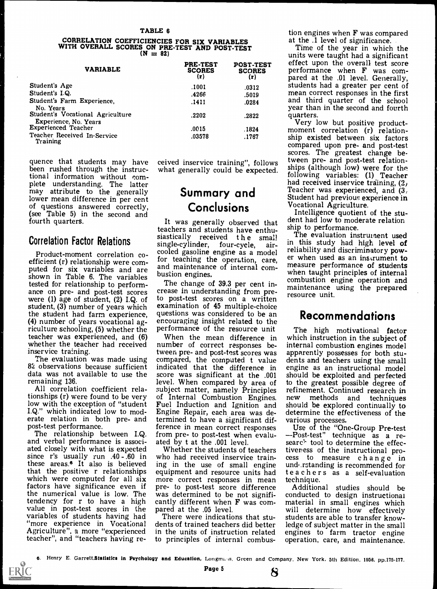#### CORRELATION COEFFICIENCIES FOR SIX VARIABLES WITH OVERALL SCORES ON PRE-TEST AND POST-TEST  $(N = 82)$

| <b>VARIABLE</b>                                                  | <b>PRE-TEST</b><br><b>SCORES</b><br>(r) | <b>POST-TEST</b><br><b>SCORES</b><br>(r) | effe<br>per<br>par |
|------------------------------------------------------------------|-----------------------------------------|------------------------------------------|--------------------|
| Student's Age                                                    | .1001                                   | .0312                                    | stuo               |
| Student's I.Q.                                                   | .4266                                   | .5019                                    | mea                |
| Student's Farm Experience,<br>No. Years                          | .1411                                   | .0284                                    | and<br>yea         |
| Student's Vocational Agriculture<br><b>Experience, No. Years</b> | .2202                                   | .2822                                    | qua                |
| <b>Experienced Teacher</b>                                       | .0015                                   | .1824                                    | mor                |
| Teacher Received In-Service<br>Training                          | .03578                                  | .1767                                    | ship<br>$\sim$     |

tional information without complete understanding. The latter may attribute to the generally lower mean difference in per cent of questions answered correctly, (see Table 5) in the second and fourth quarters.

### Correlation Factor Relations

Product-moment correlation coefficient (r) relationship were com-<br>puted for six variables and are  $\frac{1}{2}$  and maintenance of internal comshown in Table 6. The variables bustion engines.<br>tested for relationship to perform-<br>The change of 39.3 per cent inance on pre- and post-test scores crease in understanding from pre-<br>were (1) age of student, (2) I.Q. of to post-test scores on a written<br>student, (3) number of years which examination of 45 multiple-choice<br>the student ha  $(4)$  number of years vocational ag- encouraging insight related to the riculture schooling, (5) whether the teacher was experienced, and (6) whether the teacher had received<br>inservice training.

82 observations because sufficient

All correlation coefficient rela-All correlation coefficient rela-<br>tionships (r) were found to be very<br>lot and the exception of "student Fuel Induction and Ignition and<br>low with the exception of "student Fuel Induction and Ignition and I.Q." which indicated low to mod- Engine Repair, each area was deerate relation in both pre- and<br>post-test performance.

The relationship between I.Q. from pre- to post-test when evaluand verbal performance is associ- ated by t at the 001 level.<br>ated closely with what is expected Whether the students of teachers since r's usually run .40-.60 in these areas.<sup>6</sup> It also is believed that the positive r relationships equipment and resource units had which were computed for all six more correct responses in mean factors have significance even if pre- to post-test score difference the numerical value is low. The was determined to be not signifitendency for r to have a high cantly different when value in post-test scores in the pared at the .05 level. variables of students having had There were indications that stu-"more experience in Vocational Agriculture", a more "experienced teacher", and "teachers having re-

quence that students may have ceived inservice training", follows been rushed through the instruc- what generally could be expected.

teachers and students have enthusiastically received the small single-cylinder, four-cycle, airfor teaching the operation, care,<br>and maintenance of internal com-<br>bustion engines.<br>when taught principles of internal bustion engines.

to post-test scores on a written questions was considered to be an performance of the resource unit

The evaluation was made using compared, the computed t value data was not available to use the score was significant at the .001 remaining 136. number of correct responses between pre- and post-test scores was apparently possesses for both stu-<br>compared, the computed t value dents and teachers using the small<br>indicated that the difference in engine as an instructional model indicated that the difference in engine as an instructional model score was significant at the .001 should be exploited and perfected score was significant at the .001 of Internal Combustion Engines. new methods and techniques<br>Fuel Induction and Ignition and should be explored continually to<br>Engine Repair, each area was de-<br>determine the effectiveness of the<br>termined to have a significan termined to have a significant difference in mean correct responses Use of the "One-Group Pre-test from pre- to post-test when evalu-

who had received inservice training in the use of small engine understanding is recommended for equipment and resource units had

dents of trained teachers did better to principles of internal combustion engines when **F** was compared<br>at the .1 level of significance.

effect upon the overall test score at the .1 level of significance.<br>Time of the year in which the<br>units were taught had a significant<br>effect upon the overall test score<br>performance when F was com-<br>pared at the .01 level. Generally,<br>students had a greater pe

ceived inservice training", follows tween pre- and post-test relation-<br>what generally could be expected. Ships (although low) were for the<br>following variables: (1) Teacher **Summary and** Teacher was experienced, and  $(3)$ <br>Student had previous experience in quarters.<br> Very low but positive product-<br>moment correlation (r) relation-<br>ship existed between six factors compared upon pre- and post-test<br>scores. The greatest change beships (although low) were for the had received inservice training,  $(2)$ 

**Conclusions** Vocational Agriculture.<br>Intelligence quotient of the stu-It was generally observed that dent had low to moderate relation

The change of 39.3 per cent in-<br>crease in understanding from pre-<br>crease in understanding from pre-<br>conting unit The evaluation instrument used in this study had high level of reliability and discriminatory powmaintenance using the prepared resource unit.

## Recommendations

When the mean difference in which-instruction-in-the-subject-of-<br>imber of correct responses be- internal-combustio**n**-engines-model The high motivational factor which instruction in the subject of dents and teachers using the small to the greatest possible degree of refinement. Continued research in should be explored continually to determine the effectiveness of the

-Post-test" technique as a research tool to determine the effectiveness of the instructional process to measure change in teachers as a self-evaluation technique.

was determined to be not signifi- conducted to design instructional cantly different when F was com- material in small engines which pared at the .05 level. will determine how effectively in the units of instruction related engines to farm tractor engine to principles of internal combus- operation, care, and maintenance. Additional studies should be material in small engines which students are able to transfer knowledge of subject matter in the small

<sup>6.</sup> Henry E. Garrett.Statistics in Psychology and Education, Longmans, Green and Company. New York, 5th Edition, 1958, pp.175-177.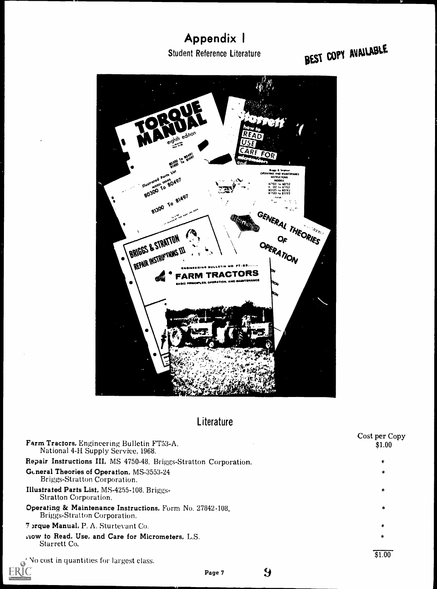# Appendix I Student Reference Literature

BEST COPY AVAILABLE



## **Literature**

| Farm Tractors, Engineering Bulletin FT53-A.<br>National 4-H Supply Service, 1968.         | Cost per Copy<br>\$1.00 |
|-------------------------------------------------------------------------------------------|-------------------------|
| Repair Instructions III, MS 4750-48. Briggs-Stratton Corporation.                         | *                       |
| General Theories of Operation, MS-3553-24<br>Briggs-Stratton Corporation.                 | $\ast$                  |
| Illustrated Parts List, MS-4255-108, Briggs-<br><b>Stratton Corporation.</b>              | *                       |
| Operating & Maintenance Instructions, Form No. 27842-108,<br>Briggs-Stratton Corporation. | *                       |
| 7 orque Manual, P. A. Sturtevant Co.                                                      | *                       |
| 140W to Read, Use, and Care for Micrometers, L.S.<br>Starrett Co.                         | ∗                       |
| No cost in quantities for largest class.                                                  | \$1.00                  |

Page 7

 $9$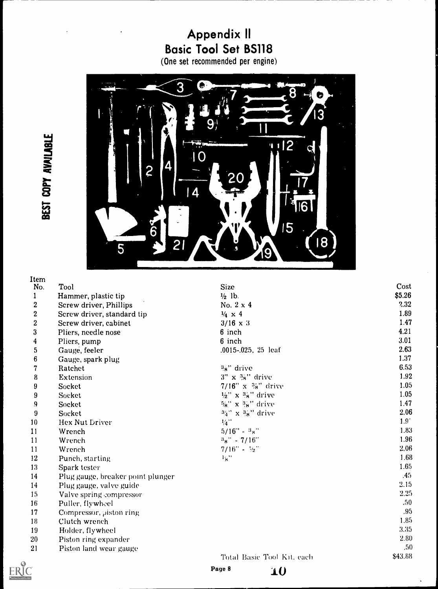# Appendix II Basic Tool Set BS118

(One set recommended per engine)



# BEST COPY AVAILABLE

| Item             |                                   |                                         |                  |
|------------------|-----------------------------------|-----------------------------------------|------------------|
| No.              | Tool                              | <b>Size</b>                             | Cost             |
| $\mathbf{1}$     | Hammer, plastic tip               | $\frac{1}{2}$ lb.                       | \$5.26           |
| $\overline{2}$   | Screw driver, Phillips            | No. $2 \times 4$                        | 2.32             |
| $\boldsymbol{2}$ | Screw driver, standard tip        | $\frac{1}{4} \times 4$                  | 1.89             |
| $\bf{2}$         | Screw driver, cabinet             | $3/16 \times 3$                         | 1.47             |
| 3                | Pliers, needle nose               | 6 inch                                  | 4.21             |
| 4                | Pliers, pump                      | 6 inch                                  | 3.01             |
| 5                | Gauge, feeler                     | .0015-.025, 25 leaf                     | 2.63             |
| $6\phantom{1}6$  | Gauge, spark plug                 |                                         | 1.37             |
| 7                | Ratchet                           | 3a" drive                               | 6.53             |
| 8                | Extension                         | $3" \times 3s"$ drive                   | 1.92             |
| $9\phantom{.}$   | Socket                            | $7/16" \times 3'_{8}$ " drive           | 1.05             |
| 9                | Socket                            | $\frac{1}{2}$ " x $\frac{3}{8}$ " drive | 1.05             |
| 9                | Socket                            | $5/8$ " x $3/8$ " drive                 | 1.47             |
| 9                | Socket                            | $34'' \times 38''$ drive                | 2.06             |
| 10               | Hex Nut Driver                    | $1/4$ $^\prime\prime$                   | 1.9 <sup>°</sup> |
| 11               | Wrench                            | $5/16" - 38"$                           | 1.83             |
| 11               | Wrench                            | $a_8$ " - 7/16"                         | 1.96             |
| 11               | Wrench                            | $7/16$ " - 1/2"                         | 2.06             |
| 12               | Punch, starting                   | $1_{\rm R}$ .                           | 1.68             |
| 13               | Spark tester                      |                                         | 1.65             |
| 14               | Plug gauge, breaker point plunger |                                         | .45              |
| 14               | Plug gauge, valve guide           |                                         | 2.15             |
| 15               | Valve spring compressor           |                                         | 2.25             |
| 16               | Puller, flywheel                  |                                         | .50 <sub>1</sub> |
| 17               | Compressor, piston ring           |                                         | .95              |
| 18               | Clutch wrench                     |                                         | 1.85             |
| 19               | Holder, flywheel                  |                                         | 3.35             |
| 20               | Piston ring expander              |                                         | 2.80             |
| 21               | Piston land wear gauge            |                                         | .50 <sub>1</sub> |
|                  |                                   | Total Basic Tool Kit, each              | \$43.88          |

Page 8 10

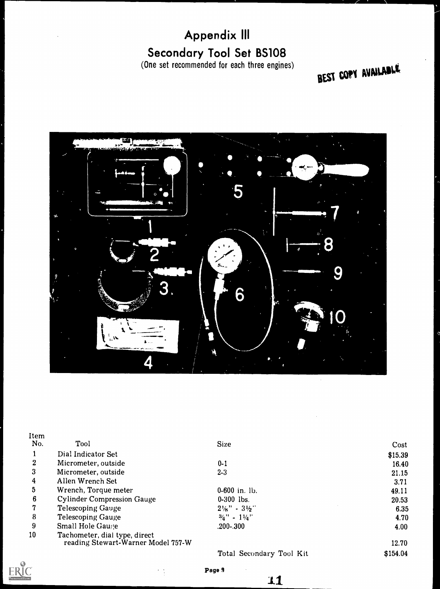# Appendix Ill Secondary Tool Set BS108

(One set recommended for each three engines)

# BEST COPY AVAILADLE



| Tool                                                                | <b>Size</b>                         | Cost     |
|---------------------------------------------------------------------|-------------------------------------|----------|
| Dial Indicator Set                                                  |                                     | \$15.39  |
| Micrometer, outside                                                 | $0 - 1$                             | 16.40    |
| Micrometer, outside                                                 | $2 - 3$                             | 21.15    |
| Allen Wrench Set                                                    |                                     | 3.71     |
| Wrench, Torque meter                                                | $0-600$ in. lb.                     | 49.11    |
| <b>Cylinder Compression Gauge</b>                                   | $0-300$ lbs.                        | 20.53    |
| <b>Telescoping Gauge</b>                                            | $2\frac{1}{8}$ " - $3\frac{1}{2}$ " | 6.35     |
| <b>Telescoping Gauge</b>                                            | $3/4$ $-1/4$                        | 4.70     |
| <b>Small Hole Gauge</b>                                             | .200-.300                           | 4.00     |
| Tachometer, dial type, direct<br>reading Stewart-Warner Model 757-W |                                     | 12.70    |
|                                                                     | Total Secondary Tool Kit            | \$154.04 |
|                                                                     |                                     |          |



Page 9

 $\sim$   $\sim$ 

1.1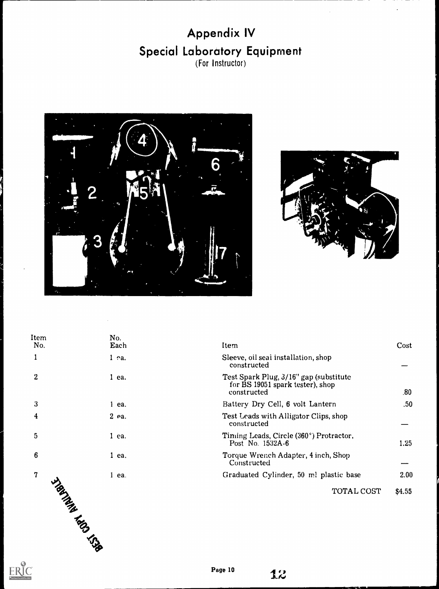# Appendix IV Special Laboratory Equipment (For Instructor)



 $ERIC$ 



| Item<br>No.    | No.<br>Each | Item                                                                                      | Cost             |
|----------------|-------------|-------------------------------------------------------------------------------------------|------------------|
| 1              | $1$ ea.     | Sleeve, oil seal installation, shop<br>constructed                                        |                  |
| $\overline{2}$ | $1$ ea.     | Test Spark Plug, 3/16" gap (substitute<br>for BS 19051 spark tester), shop<br>constructed | .80              |
| 3              | $1$ ea.     | Battery Dry Cell, 6 volt Lantern                                                          | .50 <sub>1</sub> |
| 4              | $2$ ea.     | Test Leads with Alligator Clips, shop<br>constructed                                      |                  |
| 5              | $1$ ea.     | Timing Leads, Circle (360°) Protractor,<br>Post No. 1532A-6                               | 1.25             |
| $6\phantom{1}$ | $1$ ea.     | Torque Wrench Adapter, 4 inch, Shop<br>Constructed                                        |                  |
| $\mathbf 7$    | $1$ ea.     | Graduated Cylinder, 50 ml plastic base                                                    | 2.00             |
| I Ratings Line |             | TOTAL COST                                                                                | \$4.55           |
|                |             |                                                                                           |                  |
|                |             |                                                                                           |                  |
|                |             |                                                                                           |                  |
|                |             |                                                                                           |                  |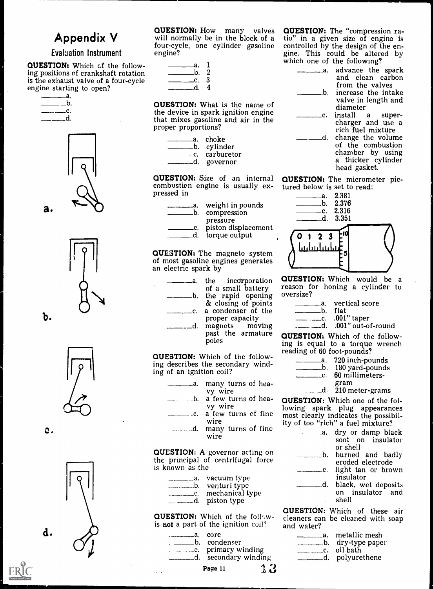# Appendix V

#### Evaluation Instrument

QUESTION: Which of the following positions of crankshaft rotation is the exhaust valve of a four-cycle engine starting to open?



a.

b.







C.



will normally be in the block of a four-cycle, one cylinder gasoline engine?

| - а.      |     |  |
|-----------|-----|--|
| $\Box$ b. | - 2 |  |
| ——c. 3    |     |  |
| - P       | 4   |  |

QUESTION: What is the name of the device in spark ignition engine that mixes gasoline and air in the proper proportions?

| _a. cho <b>k</b> e |  |
|--------------------|--|
| b. cylinder_       |  |
| __c. carburetor    |  |
|                    |  |

d governor

QUESTION: Size of an internal combustion engine is usually ex- pressed in

- a. weight in pounds b. compression
	- pressure

c. piston displacement \_c. piston displace<br>\_d. torque output

 $\alpha$ UESTION: The magneto system  $\lambda$   $\mu$ of most gasoline engines generates an electric spark by

- a the incorporation<br>of a small battery
- 
- b. the rapid opening<br>& closing of points c a condenser of the
	- proper capacity<br>magnets moving d. magnets moving...<br>past the armature poles

QUESTION: Which of the following describes the secondary winding of an ignition coil?

| vy wire |                        |  |  |
|---------|------------------------|--|--|
|         | b. a few turns of hea- |  |  |

- vy wire<br>c. a few turns of fine
	- wire
- d. many turns of fine wire

QUESTION: A governor acting on the principal of centrifugal force is known as the

| a. vacuum type_     |
|---------------------|
|                     |
| Le. mechanical type |
|                     |

**QUESTION:** Which of the followis not a part of the ignition coil?

a. core b condenser c. primary winding

d secondary winding

**QUESTION:** How many valves **QUESTION:** The "compression ra-<br>will normally be in the block of a tio" in a given size of engine is QUESTION: The "compression racontrolled by the design of the engine. This could be altered by which one of the following?

- a. advance the spark...
	- and clean carbon from the valves  $\Box$ b. increase the intake valve in length and

- diameter<br>install c. install <sup>a</sup> super- charger and use a rich fuel mixture
- 

d. change the volume of the combustion chamber by using a thicker cylinder head gasket.

QUESTION: The micrometer pictured below is set to read:



QUESTION: Which would be a reason for honing a cylinder to oversize?

|            | __a. vertical score |
|------------|---------------------|
| ___b. flat |                     |
|            | $\ldots$ 001" taper |

.d. .001" out-of-round

QUESTION: Which of the following is equal to a torque wrench reading of 60 foot-pounds?

| 720 inch-pounds    |
|--------------------|
| b. 180 yard-pounds |

- <sub>c</sub>. 60 millimeters
	- gram

\_d. 210 meter-grams

of fine lowing spark plug appearances most clearly indicates the possibil-QUESTION: Which one of the folity of too "rich" a fuel mixture?

> a. dry or damp black soot on insulator or shell burned and badly eroded electrode <sup>c</sup> light tan or brown

> > insulator

d. black, wet deposits.

on insulator and shell

QUESTION: Which of these air cleaners can be cleaned with soap and water?

 $3.11$ 

- <sub>——a.</sub> metallic mesh \_\_\_\_\_\_\_b. dry-type paper
- c oil bath
	-



Page 11



d.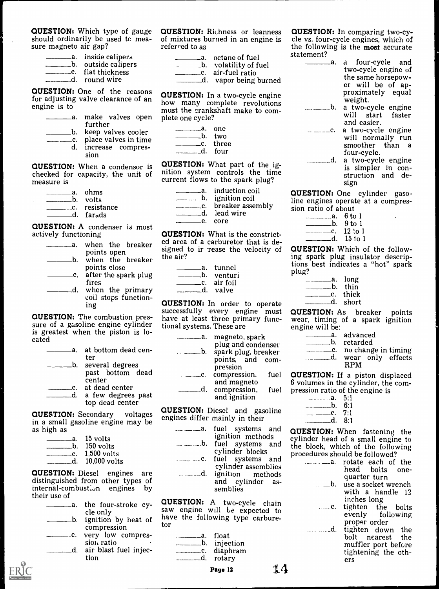**QUESTION:** Which type of gauge **QUESTION:** Richness or leanness should ordinarily be used tc mea- sure magneto air gap?

| a. inside calipers  |
|---------------------|
| b. outside calipers |
|                     |
| d. round wire       |

QUESTION: One of the reasons engine is to

| _a.       | make valves open plete of<br>further |  |
|-----------|--------------------------------------|--|
|           | b. keep valves cooler                |  |
| $\Box$ C. | place valves in time                 |  |
| d.        | increase compres-                    |  |
|           | sion                                 |  |

| _a. ohms                 |
|--------------------------|
| b. volts                 |
| <u>_</u> __c. resistance |
| .d. far <sub>a</sub> ds  |

**QUESTION:** A condenser is most<br>actively functioning<br>the healter and area of a carburetor that is de-

| а.<br>b.       | when the breaker<br>points open<br>when the breaker | ed area o<br>signed to<br>the air? |
|----------------|-----------------------------------------------------|------------------------------------|
| $\mathbf{c}$ . | points close<br>after the spark plug                |                                    |
|                | fires                                               |                                    |
| $\mathbf d$ .  | when the primary<br>coil stops function-            |                                    |
|                | ing                                                 | QUESTIC                            |
|                | $\mathbb{R}$ STION: The combustion pres-            | successful<br>$h$ aise at 1.       |

**QUESTION:** The combustion pres-<br>sure of a gasoline engine cylinder is greatest when the piston is located

| -a. at bottom dead cen- |  |
|-------------------------|--|
| ter                     |  |
| b. several degrees      |  |
| past bottom dead        |  |
| center                  |  |
| c. at dead center       |  |
| d. a few degrees past   |  |
| top dead center         |  |
|                         |  |

**QUESTION:** Secondary voltages engines differ mainly in their in a small gasoline engine may be as high as

| __a.    15 volts |
|------------------|
| $-b.$ 150 volts  |
| c. 1,500 volts   |
| d. 10,000 volts  |

QUESTION: Diesel engines are distinguished from other types of internal-combustion engines by their use of

| $\mathbf{a}$ . | the four-stroke cy-<br>cle only     |  |
|----------------|-------------------------------------|--|
| b.             | ignition by heat of                 |  |
|                | compression                         |  |
| $\mathbf{c}$ . | very low compres-                   |  |
|                | sion ratio<br>air blast fuel injec- |  |
|                | tion                                |  |

**QUESTION:** Richness or leanness **QUESTION:** In comparing two-cy-<br>of mixtures burned in an engine is cle vs. four-cycle engines, which of referred to as

| a. octane of fuel     |  |
|-----------------------|--|
| b. volatility of fuel |  |
|                       |  |

d vapor being burned

for adjusting valve clearance of an **unclearately** how many complete revolutions make valves open plete one cycle? QUESTION: In a two-cycle engine how many complete revolutions must the crankshaft make to com-

| __a. one<br>___b. two |         |  |
|-----------------------|---------|--|
|                       |         |  |
| _____c. three         |         |  |
|                       | d. four |  |

**QUESTION:** When a condensor is **QUESTION:** What part of the ig-<br>checked for capacity, the unit of mition system controls the time<br>current flows to the spark plug? nition system controls the time current flows to the spark plug?

|                | _a.    induction coil |
|----------------|-----------------------|
|                | b. ignition coil      |
| $\mathbf{c}$ . | breaker assembly      |
|                | d. lead wire          |

e core

**QUESTION:** What is the constrictsigned to ir rease the velocity of the air?

| .a. tunnel           |
|----------------------|
| .b. venturi          |
| $\equiv$ c. air foil |
| .d. valve            |

QUESTION: In order to operate successfully every engine must have at least three primary functional systems. These are

| _a. | magneto, spark      |      |             |
|-----|---------------------|------|-------------|
|     | plug and condenser  |      |             |
| b.  | spark plug, breaker |      |             |
|     | points, and com-    |      |             |
|     | pression            |      |             |
|     | compression,        | fuel | <b>QUES</b> |
|     | and magneto         |      | 6 volur     |
|     | compression,        | fuel | pressic     |
|     | and ignition        |      |             |
|     |                     |      |             |

QUESTION: Diesel and gasoline

| $\ldots$ $\ldots$ C.<br>$\equiv$ $\equiv$ $\equiv$ $\sim$ d. | ignition methods<br>cylinder blocks<br>fuel systems and<br>cylinder assemblies<br>ignition methods<br>and cylinder as-<br>semblies | <b>QUESTI</b><br>cylinder<br>the bloc<br>procedu |
|--------------------------------------------------------------|------------------------------------------------------------------------------------------------------------------------------------|--------------------------------------------------|
|                                                              |                                                                                                                                    |                                                  |

ignition by heat of have the following type carbure-QUESTION: A two-cycle chain saw engine will be expected to tor

| ——a. float  |  |
|-------------|--|
|             |  |
| c. diaphram |  |
| d. rotary   |  |

cle vs. four-cycle engines, which of the following is the most accurate statement?

a. a four-cycle and two-cycle engine of<br>the same horsepower will be of ap-<br>proximately equal<br>weight.

weight. a two-cycle engine will start faster

and easier.<br> $\ldots \ldots \ldots$  c. a two-cycle engine will normally run smoother than a four-cycle.

d. a two-cycle engine is simpler in con- struction and design

sion ratio of about QUESTION: One cylinder gasoline engines operate at a compres-

- a. 6 to 1
- b.  $9$  to  $1$
- c. 12 to 1 d. 15 to 1

QUESTION: Which of the following spark plug insulator descriptions best indicates a "hot" spark plug?

|                | __a. long      |  |
|----------------|----------------|--|
| $\_\_$ b. thin |                |  |
|                | ___c.    thick |  |
|                | .d. short      |  |

QUESTION: As breaker points wear, timing of a spark ignition engine will be:

| _____a. advanced          |  |
|---------------------------|--|
| _b. retarded              |  |
| ___c. no change in timing |  |
| d. wear only effects      |  |
|                           |  |

compression, fuel QUESTION: If a piston displaced 6 volumes in the cylinder, the compression ratio of the engine is

| __a. 5:1    |  |
|-------------|--|
| ____b, 6:1  |  |
| _____c. 7:1 |  |
| d. $8:1$    |  |

<sup>---------a.</sup> fuel systems and **QUESTION:** When fastening the ignition methods cylinder head of a small engine to fuel systems and the block, which of the following procedures should be followed?

| . <u>.</u> a .                       | rotate each of the  |
|--------------------------------------|---------------------|
|                                      | head bolts one-     |
|                                      | quarter turn        |
| $\mathbf{a}$ . $\mathbf{b}$ .        | use a socket wrench |
|                                      | with a handle 12    |
|                                      | inches long         |
| $\ldots$ . $\mathbf{c}_{\mathbf{r}}$ | tighten the bolts   |
|                                      | evenly following    |
|                                      | proper order        |
| . d <i>.</i>                         | tighten down the    |
|                                      | bolt nearest the    |
|                                      | muffler port before |
|                                      | tightening the oth- |
|                                      | ers                 |



Page 12  $14$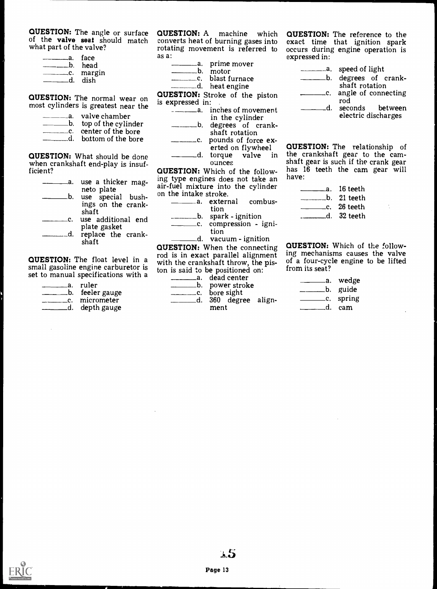QUESTION: The angle or surface of the valve seat should match what part of the valve?

| __b. head               |  |
|-------------------------|--|
| __c. margin<br>.d. dish |  |

QUESTION: The normal wear on most cylinders is greatest near the

| .a.    valve chamber   |  |
|------------------------|--|
| b. top of the cylinder |  |
| C. center of the bore  |  |
| d. bottom of the bore  |  |

QUESTION: What should be done when crankshaft end-play is insufficient?

| use a thicker mag-<br>.а.<br>neto plate | ing type<br>air-fuel r |
|-----------------------------------------|------------------------|
| use special bush-<br>b.                 | on the in              |
| ings on the crank-<br>shaft             |                        |
| use additional end<br>plate gasket      |                        |
| replace the crank-<br>shaft             |                        |

small gasoline engine carburetor is set to manual specifications with a

| _a. ruler       |
|-----------------|
| b. feeler gauge |
| _c. micrometer  |
| d. depth gauge  |

QUESTION: A machine which converts heat of burning gases into as a:

| a. prime mover |
|----------------|
| .b. motor      |

c. blast furnace

d. heat engine

QUESTION: Stroke of the piston is expressed in:

| -------------a. inches of movement |  |
|------------------------------------|--|
| in the cylinder                    |  |

- in the cylinder degrees of crankshaft rotation
- c. pounds of force ex-<br>erted on flywheel
	- ounces

QUESTION: Which of the following type engines does not take an have: air-fuel mixture into the cylinder on the intake stroke.

\_\_\_a. external combustion

b. spark - ignition c compression - ignition

d. vacuum - ignition

**QUESTION:** The float level in a with the crankshaft throw, the pis-**QUESTION:** When the connecting **QUESTION:** Which of the follow-<br>rod is in exact parallel alignment ing mechanisms causes the valve rod is in exact parallel alignment ton is said to be positioned on:

a dead center <u>b.</u> power stroke <u>\_\_</u>\_\_c. bore sight

d. 360 degree alignment

rotating movement is referred to occurs during engine operation is QUESTION: The reference to the exact time that ignition spark occurs during engine operation is expressed in:

|    | a. speed of light                      |
|----|----------------------------------------|
|    | b. degrees of crank-<br>shaft rotation |
|    |                                        |
|    | c. angle of connecting<br>rod          |
| d. | seconds between                        |
|    | electric discharges                    |

d. torque valve in the crankshaft gear to the cam-<br>ounces shaft gear is such if the crank gear QUESTION: The relationship of the crankshaft gear to the cam-<br>shaft gear is such if the crank gear<br>has 16 teeth the cam gear will

| __a. 16 teeth |   |
|---------------|---|
| b. 21 teeth   |   |
|               | ٠ |
| .d. 32 teeth  |   |

QUESTION: Which of the followof a four-cycle engine to be lifted from its seat?

|             | .a. wedge   |  |
|-------------|-------------|--|
|             | _b. guide   |  |
|             | __c. spring |  |
| $d_{\perp}$ | – cam       |  |